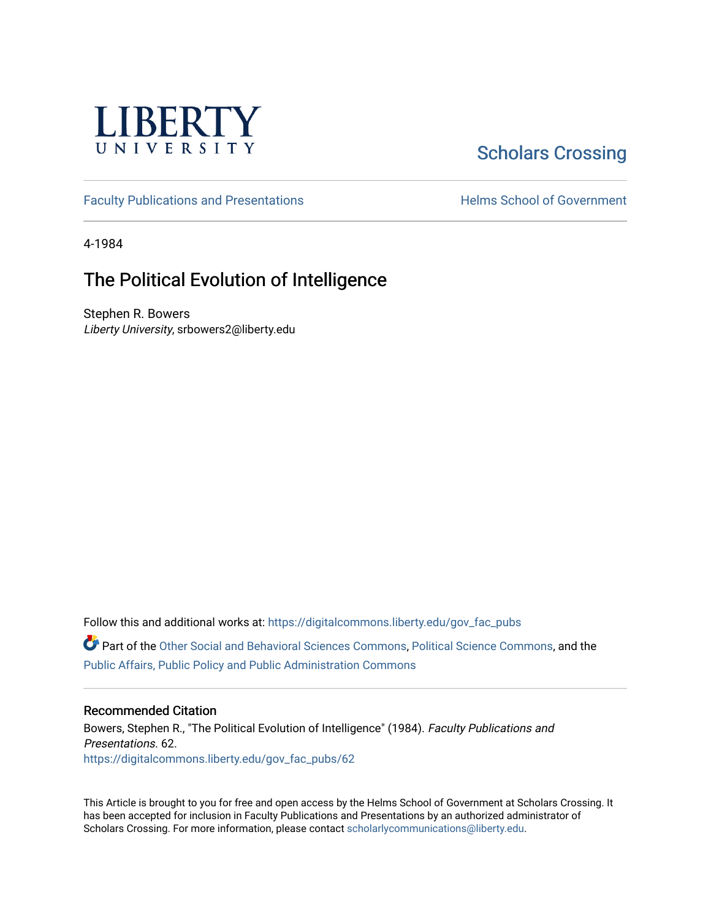

# [Scholars Crossing](https://digitalcommons.liberty.edu/)

[Faculty Publications and Presentations](https://digitalcommons.liberty.edu/gov_fac_pubs) **Exercise School of Government** 

4-1984

# The Political Evolution of Intelligence

Stephen R. Bowers Liberty University, srbowers2@liberty.edu

Follow this and additional works at: [https://digitalcommons.liberty.edu/gov\\_fac\\_pubs](https://digitalcommons.liberty.edu/gov_fac_pubs?utm_source=digitalcommons.liberty.edu%2Fgov_fac_pubs%2F62&utm_medium=PDF&utm_campaign=PDFCoverPages) Part of the [Other Social and Behavioral Sciences Commons](http://network.bepress.com/hgg/discipline/437?utm_source=digitalcommons.liberty.edu%2Fgov_fac_pubs%2F62&utm_medium=PDF&utm_campaign=PDFCoverPages), [Political Science Commons](http://network.bepress.com/hgg/discipline/386?utm_source=digitalcommons.liberty.edu%2Fgov_fac_pubs%2F62&utm_medium=PDF&utm_campaign=PDFCoverPages), and the [Public Affairs, Public Policy and Public Administration Commons](http://network.bepress.com/hgg/discipline/393?utm_source=digitalcommons.liberty.edu%2Fgov_fac_pubs%2F62&utm_medium=PDF&utm_campaign=PDFCoverPages)

## Recommended Citation

Bowers, Stephen R., "The Political Evolution of Intelligence" (1984). Faculty Publications and Presentations. 62. [https://digitalcommons.liberty.edu/gov\\_fac\\_pubs/62](https://digitalcommons.liberty.edu/gov_fac_pubs/62?utm_source=digitalcommons.liberty.edu%2Fgov_fac_pubs%2F62&utm_medium=PDF&utm_campaign=PDFCoverPages) 

This Article is brought to you for free and open access by the Helms School of Government at Scholars Crossing. It has been accepted for inclusion in Faculty Publications and Presentations by an authorized administrator of Scholars Crossing. For more information, please contact [scholarlycommunications@liberty.edu.](mailto:scholarlycommunications@liberty.edu)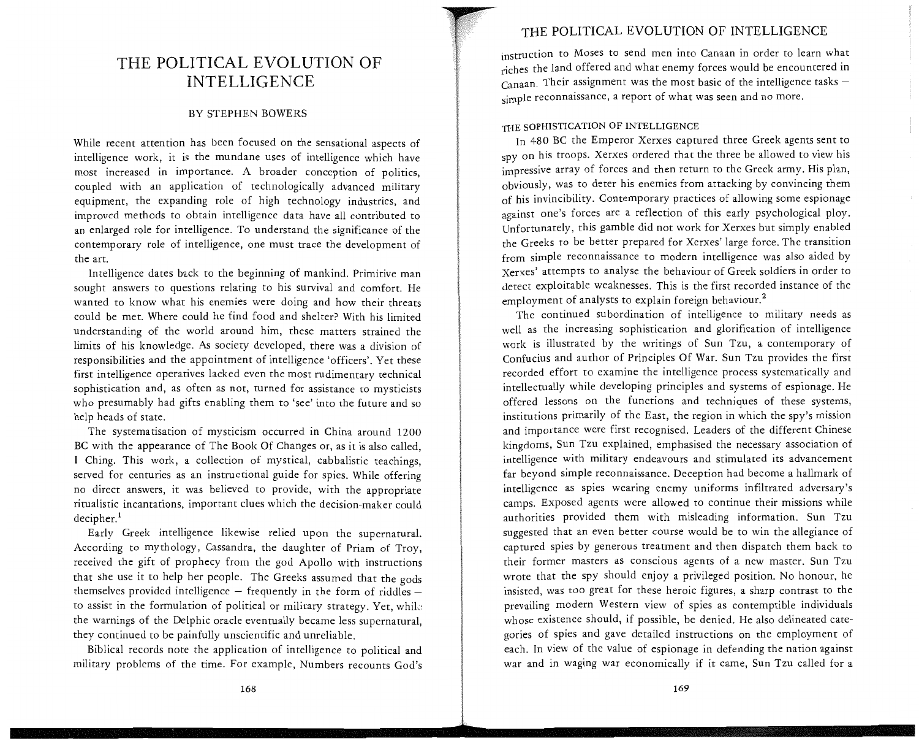#### BY STEPHEN BOWERS

While recent attention has been focused on the sensational aspects of intelligence work, it is the mundane uses of intelligence which have most increased in importance. A broader conception of politics, coupled with an application of technologically advanced military equipment, the expanding role of high technology industries, and improved methods to obtain intelligence data have all contributed to an enlarged role for intelligence. To understand the significance of the contemporary role of intelligence, one must trace the development of the art.

Intelligence dates back to the beginning of mankind. Primitive man sought answers to questions relating to his survival and comfort. He wanted to know what his enemies were doing and how their threats could be met. Where could he find food and shelter? With his limited understanding of the world around him, these matters strained the limits of his knowledge. As society developed, there was a division of responsibilities and the appointment of intelligence 'officers'. Yet these first intelligence operatives lacked even the most rudimentary technical sophistication and, as often as not, turned for assistance to mysticists who presumably had gifts enabling them to 'see' into the future and so help heads of state.

The systematisation of mysticism occurred in China around 1200 BC with the appearance of The Book Of Changes or, as it is also called, I Ching. This work, a collection of mystical, cabbalistic teachings, served for centuries as an instructional guide for spies. While offering no direct answers, it was believed to provide, with the appropriate ritualistic incantations, important clues which the decision-maker could decipher.<sup>1</sup>

Early Greek intelligence likewise relied upon the supernatural. According to mythology, Cassandra, the daughter of Priam of Troy, received the gift of prophecy from the god Apollo with instructions that she use it to help her people. The Greeks assumed that the gods themselves provided intelligence  $-$  frequently in the form of riddles  $$ to assist in the formulation of political or military strategy. Yet, whiL: the warnings of the Delphic oracle eventually became less supernatural, they continued to be painfully unscientific and unreliable.

Biblical records note the application of intelligence to political and military problems of the time. For example, Numbers recounts God's

### THE POLITICAL EVOLUTION OF INTELLIGENCE

instruction to Moses to send men into Canaan in order to learn what riches the land offered and what enemy forces would be encountered in  $C<sub>an</sub>$ aan. Their assignment was the most basic of the intelligence tasks simple reconnaissance, a report of what was seen and no more.

#### THE SOPHISTICATION OF INTELLIGENCE

In 480 BC the Emperor Xerxes captured three Greek agents sent to spy on his troops. Xerxes ordered that the three be allowed to view his impressive array of forces and then return to the Greek army. His plan, obviously, was to deter his enemies from attacking by convincing them of his invincibility. Contemporary practices of allowing some espionage against one's forces are a reflection of this early psychological ploy. Unfortunately, this gamble did not work for Xerxes but simply enabled the Greeks to be better prepared for Xerxes' large force. The transition from simple reconnaissance to modern intelligence was also aided by Xerxes' attempts to analyse the behaviour of Greek soldiers in order to detect exploitable weaknesses. This is the first recorded instance of the employment of analysts to explain foreign behaviour.<sup>2</sup>

The continued subordination of intelligence to military needs as well as the increasing sophistication and glorification of intelligence work is illustrated by the writings of Sun Tzu, a contemporary of Confucius and author of Principles Of War. Sun Tzu provides the first recorded effort to examine the intelligence process systematically and intellectually while developing principles and systems of espionage. He offered lessons on the functions and techniques of these systems, institutions primarily of the East, the region in which the spy's mission and importance were first recognised. Leaders of the different Chinese kingdoms, Sun Tzu explained, emphasised the necessary association of intelligence with military endeavours and stimulated its advancement far beyond simple reconnaissance. Deception had become a hallmark of intelligence as spies wearing enemy uniforms infiltrated adversary's camps. Exposed agents were allowed to continue their missions while authorities provided them with misleading information. Sun Tzu suggested that an even better course would be to win the allegiance of captured spies by generous treatment and then dispatch them back to their former masters as conscious agents of a new master. Sun Tzu wrote that the spy should enjoy a privileged position. No honour, he insisted, was too great for these heroic figures, a sharp contrast to the prevailing modern Western view of spies as contemptible individuals whose existence should, if possible, be denied. He also delineated categories of spies and gave detailed instructions on the employment of each. In view of the value of espionage in defending the nation against war and in waging war economically if it came, Sun Tzu called for a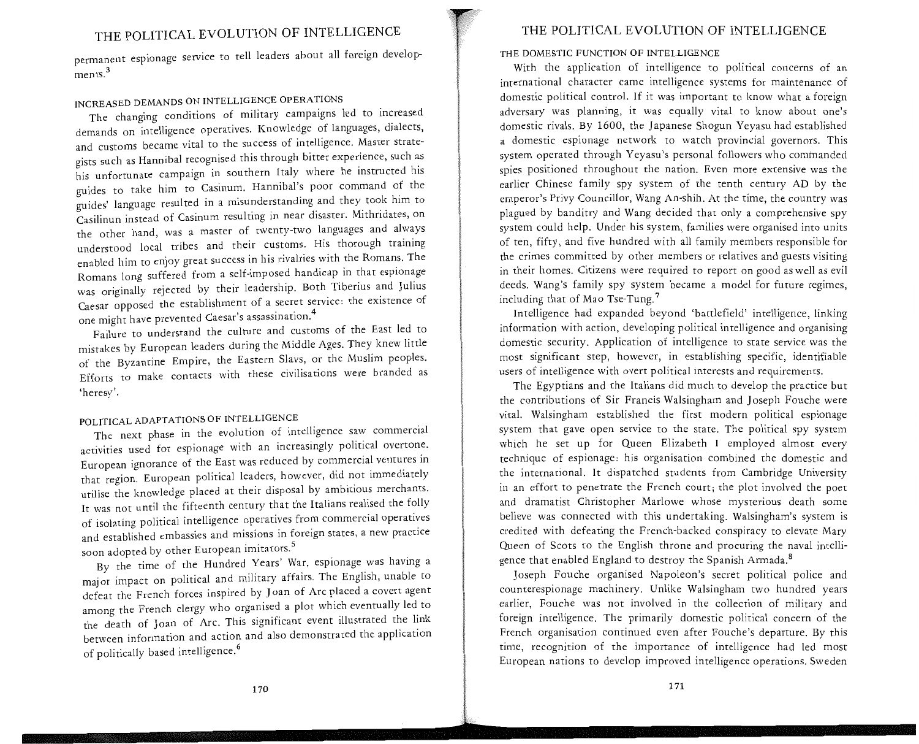$p_{\text{e}}$  are ignage service to tell leaders about all foreign develop- $\sum_{n=1}^{\infty}$ 

## INCREASED DEMANDS ON INTELLIGENCE OPERATIONS

The changing conditions of military campaigns led to increased demands on intelligence operatives. Knowledge of languages, dialects, and customs became vital to the success of intelligence. Master strategists such as Hannibal recognised this through bitter experience, such as his unfortunate campaign in southern Italy where he instructed his guides to take him to Casinum. Hannibal's poor command of the guides' language resulted in a misunderstanding and they took him to Casilinun instead of Casinum resulting in near disaster. Mithridates, on the other hand, was a master of twenty-two languages and always understood local tribes and their customs. His thorough training enabled him to enjoy great success in his rivalries with the Romans. The Romans long suffered from a self-imposed handicap in that espionage was originally rejected by their leadership. Both Tiberius and Julius Caesar opposed the establishment of a secret service: the existence of one might have prevented Caesar's assassination.<sup>4</sup>

Failure to understand the culture and customs of the East led to mistakes by European leaders during the Middle Ages. They knew little of the Byzantine Empire, the Eastern Slavs, or the Muslim peoples. Efforts to make contacts with these civilisations were branded as 'heresy'.

## POLITICAL ADAPTATIONS OF INTELLIGENCE

The next phase in the evolution of intelligence saw commercial activities used for espionage with an increasingly political overtone. European ignorance of the East was reduced by commercial ventures in that region. European political leaders, however, did not immediately utilise the knowledge placed at their disposal by ambitious merchants. It was not until the fifteenth century that the Italians realised the folly of isolating political intelligence operatives from commercial operatives and established embassies and missions in foreign states, a new practice soon adopted by other European imitators.<sup>5</sup>

By the time of the Hundred Years' War, espionage was having a major impact on political and military affairs. The English, unable to defeat the French forces inspired by Joan of Arc placed a covert agent among the French clergy who organised a plot which eventually led to the death of Joan of Arc. This significant event illustrated the link between information and action and also demonstrated the application of politically based intelligence.<sup>6</sup>

#### THE POLITICAL EVOLUTION OF INTELLIGENCE

#### THE DOMESTIC FUNCTION OF INTELLIGENCE

With the application of intelligence to political concerns of an international character came intelligence systems for maintenance of domestic political control. If it was important to know what a foreign adversary was planning, it was equally vital to know about one's domestic rivals. By 1600, the Japanese Shogun Yeyasu had established a domestic espionage network to watch provincial governors. This system operated through Yeyasu's personal followers who commanded spies positioned throughout the nation. Even more extensive was the earlier Chinese family spy system of the tenth century AD by the emperor's Privy Councillor, Wang An-shih. At the time, the country was plagued by banditry and Wang decided that only a comprehensive spy system could help. Under his system, families were organised into units of ten, fifty, and five hundred with all family members responsible for the crimes committed by other members or relatives and guests visiting in their homes. Citizens were required to report on good as well as evil deeds. Wang's family spy system became a model for future regimes, including that of Mao Tse-Tung. <sup>7</sup>

Intelligence had expanded beyond 'battlefield' intelligence, linking information with action, developing political intelligence and organising domestic security. Application of intelligence to state service was the most significant step, however, in establishing specific, identifiable users of intelligence with overt political interests and requirements.

The Egyptians and the Italians did much to develop the practice but the contributions of Sir Francis Walsingham and Joseph Fouche were vital. Walsingham established the first modern political espionage system that gave open service to the state. The political spy system which he set up for Queen Elizabeth I employed almost every technique of espionage: his organisation combined the domestic and the international. It dispatched students from Cambridge University in an effort to penetrate the French court; the plot involved the poet and dramatist Christopher Marlowe whose mysterious death some believe was connected with this undertaking. Walsingham's system is credited with defeating the French-backed conspiracy to elevate Mary Queen of Scots to the English throne and procuring the naval intelligence that enabled England to destroy the Spanish Armada.<sup>8</sup>

Joseph Fouche organised Napoleon's secret political police and counterespionage machinery. Unlike Walsingham two hundred years earlier, Fouche was not involved in the collection of military and foreign intelligence. The primarily domestic political concern of the French organisation continued even after Fouche's departure. By this time, recognition of the importance of intelligence had led most European nations to develop improved intelligence operations. Sweden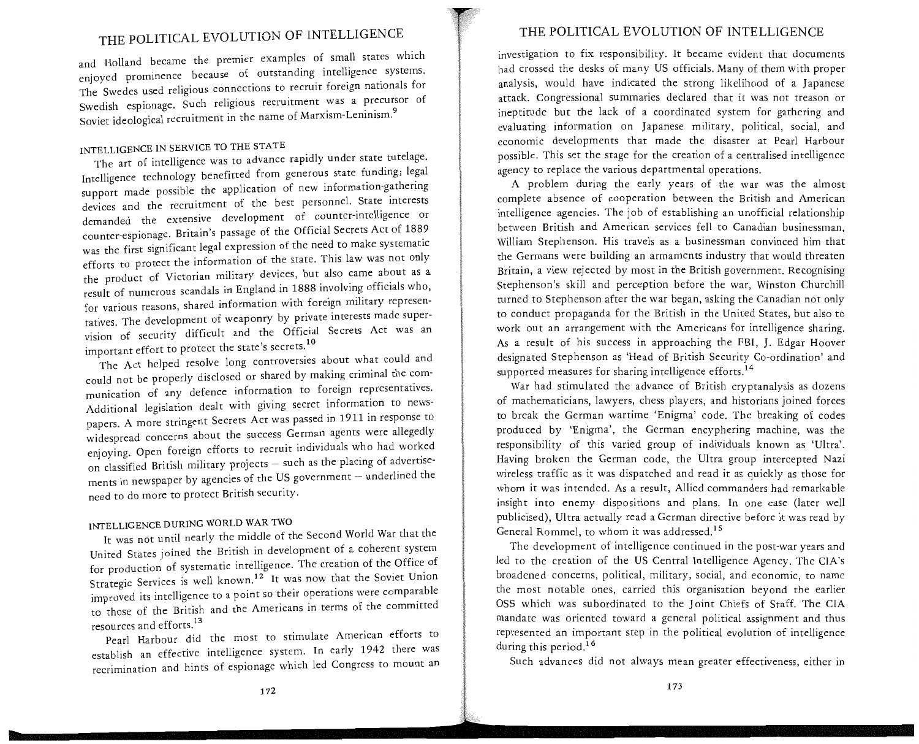and Holland became the premier examples of small states which enjoyed prominence because of outstanding intelligence systems. The Swedes used religious connections to recruit foreign nationals for Swedish espionage. Such religious recruitment was a precursor of Soviet ideological recruitment in the name of Marxism-Leninism. <sup>9</sup>

## INTELLIGENCE IN SERVICE TO THE STATE

The art of intelligence was to advance rapidly under state tutelage. Intelligence technology benefitted from generous state funding; legal support made possible the application of new information-gathering devices and the recruitment of the best personnel. State interests demanded the extensive development of counter-intelligence or counter-espionage. Britain's passage of the Official Secrets Act of 1889 was the first significant legal expression of the need to make systematic efforts to protect the information of the state. This law was not only the product of Victorian military devices, but also came about as a result of numerous scandals in England in 1888 involving officials who, for various reasons, shared information with foreign military representatives. The development of weaponry by private interests made supervision of security difficult and the Official Secrets Act was an important effort to protect the state's secrets.<sup>10</sup>

The Act helped resolve long controversies about what could and could not be properly disclosed or shared by making criminal the communication of any defence information to foreign representatives. Additional legislation dealt with giving secret information to newspapers. A more stringent Secrets Act was passed in 1911 in response to widespread concerns about the success German agents were allegedly enj oying. Open foreign efforts to recruit individuals who had worked on classified British military projects - such as the placing of advertisements in newspaper by agencies of the US government - underlined the need to do more to protect British security.

## INTELLIGENCE DURING WORLD WAR TWO

It was not until nearly the middle of the Second World War that the United States joined the British in development of a coherent system for production of systematic intelligence. The creation of the Office of Strategic Services is well known.<sup>12</sup> It was now that the Soviet Union improved its intelligence to a point so their operations were comparable to those of the British and the Americans in terms of the committed resources and efforts.<sup>13</sup>

Pearl Harbour did the most to stimulate American efforts to establish an effective intelligence system. In early 1942 there was recrimination and hints of espionage which led Congress to mount an

### THE POLITICAL EVOLUTION OF INTELLIGENCE

investigation to fix responsibility. It became evident that documents had crossed the desks of many US officials. Many of them with proper analysis, would have indicated the strong likelihood of a Japanese attack. Congressional summaries declared that it was not treason or ineptitude but the lack of a coordinated system for gathering and evaluating information on Japanese military, political, social, and economic developments that made the disaster at Pearl Harbour possible. This set the stage for the creation of a centralised intelligence agency to replace the various departmental operations.

A problem during the early years of the war was the almost complete absence of cooperation between the British and American intelligence agencies. The job of establishing an unofficial relationship between British and American services fell to Canadian businessman William Stephenson. His travels as a businessman convinced him that the Germans were building an armaments industry that would threaten Britain, a view rejected by most in the British government. Recognising Stephenson's skill and perception before the war, Winston Churchill turned to Stephenson after the war began, asking the Canadian not only to conduct propaganda for the British in the United States, but also to work out an arrangement with the Americans for intelligence sharing. As a result of his success in approaching the FBI, J. Edgar Hoover designated Stephenson as 'Head of British Security Co-ordination' and supported measures for sharing intelligence efforts.<sup>14</sup>

War had stimulated the advance of British cryptanalysis as dozens of mathematicians, lawyers, chess players, and historians joined forces to break the German wartime 'Enigma' code. The breaking of codes produced by 'Enigma', the German encyphering machine, was the responsibility of this varied group of individuals known as 'Ultra'. Having broken the German code, the Ultra group intercepted Nazi wireless traffic as it was dispatched and read it as quickly as those for whom it was intended. As a result, Allied commanders had remarkable insight into enemy dispositions and plans. In one case (later well publicised), Ultra actually read a German directive before it was read by General Rommel, to whom it was addressed.<sup>15</sup>

The development of intelligence continued in the post-war years and led to the creation of the US Central Intelligence Agency. The CIA's broadened concerns, political, military, social, and economic, to name the most notable ones, carried this organisation beyond the earlier OSS which was subordinated to the Joint Chiefs of Staff. The CIA mandate was oriented toward a general political assignment and thus represented an important step in the political evolution of intelligence during this period.<sup>16</sup>

Such advances did not always mean greater effectiveness, either in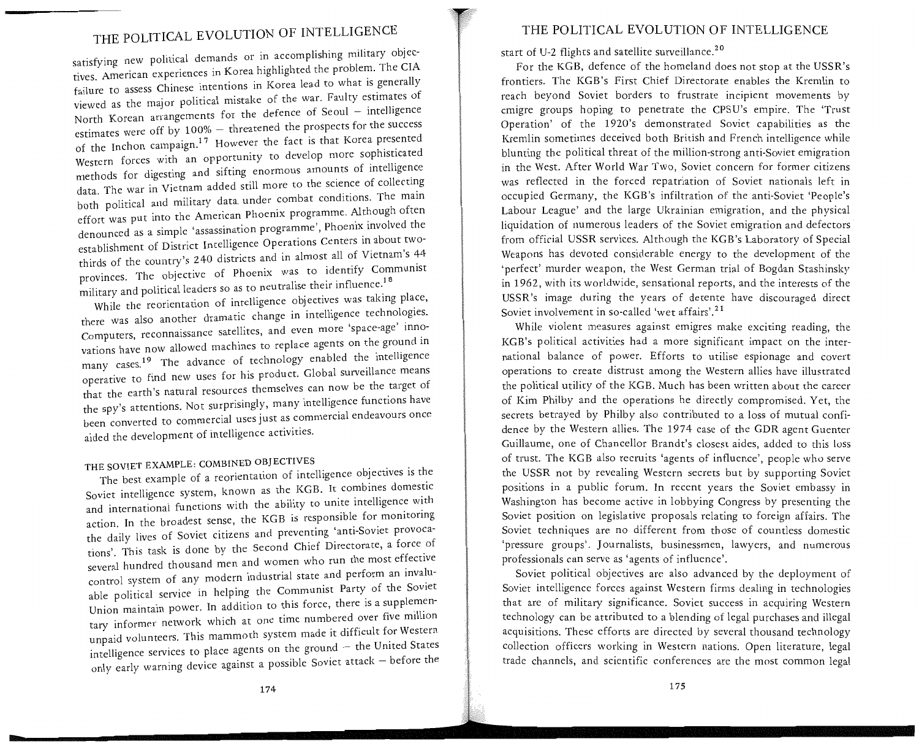satisfying new political demands or in accomplishing military objectives. American experiences in Korea highlighted the problem. The CIA failure to assess Chinese intentions in Korea lead to what is generally viewed as the major political mistake of the war. Faulty estimates of North Korean arrangements for the defence of Seoul - intelligence estimates were off by 100% - threatened the prospects for the success of the Inchon campaign.<sup>17</sup> However the fact is that Korea presented Western forces with an opportunity to develop more sophisticated methods for digesting and sifting enormous amounts of intelligence data. The war in Vietnam added still more to the science of collecting<br>both political and military data under combat conditions. The main effort was put into the American Phoenix programme. Although often denounced as a simple 'assassination programme', Phoenix involved the establishment of District Intelligence Operations Centers in about twothirds of the country's 240 districts and in almost all of Vietnam's 44 provinces. The objective of Phoenix was to identify Communist<br> $\frac{18}{100}$  and political leaders so as to neutralise their influence.<sup>18</sup> military and political leaders so as to neutralise their influence.<sup>18</sup><br>While the reorientation of intelligence objectives was taking place,

there was also another dramatic change in intelligence technologies. Computers, reconnaissance satellites, and even more 'space-age' innovations have now allowed machines to replace agents on the ground m many cases. 19 The advance of technology enabled the intelligence operative to find new uses for his product. Global surveillance means that the earth's natural resources themselves can now be the target of the spy's attentions. Not surprisingly, many intelligence functions have been converted to commercial uses just as commercial endeavours once aided the development of intelligence activities.

## THE SOVIET EXAMPLE: COMBINED OBJECTIVES

The best example of a reorientation of intelligence objectives is the Soviet intelligence system, known as the KGB. It combines domestic and international functions with the ability to unite intelligence with action. In the broadest sense, the KGB is responsible for monitoring the daily lives of Soviet citizens and preventing 'anti-Soviet provocations'. This task is done by the Second Chief Directorate, a force of several hundred thousand men and women who run the most effective control system of any modern industrial state and perform an invaluable political service in helping the Communist Party of the Soviet Union maintain power. In addition to this force, there is a supplementary informer network which at one time numbered over five million unpaid volunteers. This mammoth system made it difficult for Western intelligence services to place agents on the ground  $-$  the United States only early warning device against a possible Soviet attack - before the

### THE POLITICAL EVOLUTION OF INTELLIGENCE

start of U-2 flights and satellite surveillance.<sup>20</sup>

For the KGB, defence of the homeland does not stop at the USSR's frontiers. The KGB's First Chief Directorate enables the Kremlin to reach beyond Soviet borders to frustrate incipient movements by cmigre groups hoping to penetrate the CPSU's empire. The 'Trust Operation' of the 1920's demonstrated Soviet capabilities as the Kremlin sometimes deceived both British and French intelligence while blunting the political threat of the million-strong anti-Soviet emigration in the West. After World War Two, Soviet concern for former citizens was reflected in the forced repatriation of Soviet nationals left in occupied Germany, the KGB's infiltration of the anti-Soviet 'People's Labour League' and the large Ukrainian emigration, and the physical liquidation of numerous leaders of the Soviet emigration and defectors from official USSR services. Although the KGB's Laboratory of Special Weapons has devoted considerable energy to the development of the 'perfect' murder weapon, the West German trial of Bogdan Stashinsky in 1962, with its worldwide, sensational reports, and the interests of the USSR's image during the years of detente have discouraged direct Soviet involvement in so-called 'wet affairs'.<sup>21</sup>

While violent measures against emigres make exciting reading, the KGB's political activities had a more significant impact on the international balance of power. Efforts to utilise espionage and covert operations to create distrust among the Western allies have illustrated the political utility of the KGB. Much has been written about the career of Kim Philby and the operations he directly compromised. Yet, the secrets betrayed by Philby also contributed to a loss of mutual confidence by the Western allies. The 1974 case of the GDR agent Guenter Guillaume, one of Chancellor Brandt's closest aides, added to this loss of trust. The KGB also recruits 'agents of influence', people who serve the USSR not by revealing Western secrets but by supporting Soviet positions in a public forum. In recent years the Soviet embassy in Washington has become active in lobbying Congress by presenting the Soviet position on legislative proposals relating to foreign affairs. The Soviet techniques are no different from those of countless domestic 'pressure groups'. Journalists, businessmen, lawyers, and numerous professionals can serve as 'agents of influence'.

Soviet political objectives are also advanced by the deployment of Soviet intelligence forces against Western firms dealing in technologies that are of military significance. Soviet success in acquiring Western technology can be attributed to a blending of legal purchases and illegal acquisitions. These efforts are directed by several thousand technology collection officers working in Western nations. Open literature, legal trade channels, and scientific conferences are the most common legal